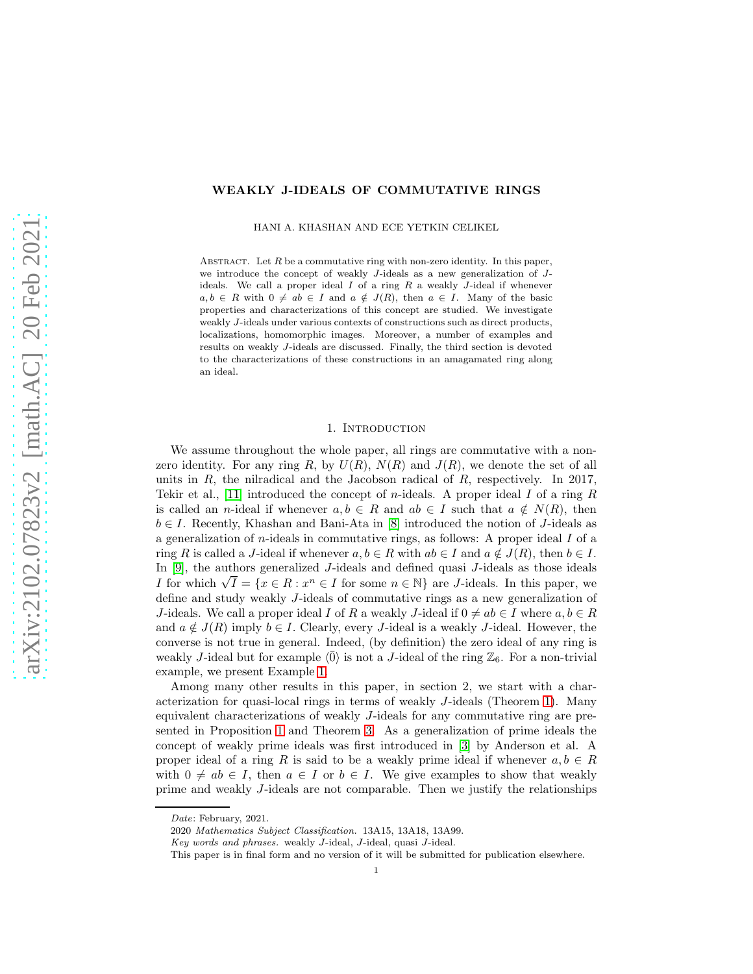# WEAKLY J-IDEALS OF COMMUTATIVE RINGS

HANI A. KHASHAN AND ECE YETKIN CELIKEL

ABSTRACT. Let  $R$  be a commutative ring with non-zero identity. In this paper, we introduce the concept of weakly J-ideals as a new generalization of Jideals. We call a proper ideal  $I$  of a ring  $R$  a weakly  $J$ -ideal if whenever  $a, b \in R$  with  $0 \neq ab \in I$  and  $a \notin J(R)$ , then  $a \in I$ . Many of the basic properties and characterizations of this concept are studied. We investigate weakly J-ideals under various contexts of constructions such as direct products, localizations, homomorphic images. Moreover, a number of examples and results on weakly J-ideals are discussed. Finally, the third section is devoted to the characterizations of these constructions in an amagamated ring along an ideal.

### 1. INTRODUCTION

We assume throughout the whole paper, all rings are commutative with a nonzero identity. For any ring R, by  $U(R)$ ,  $N(R)$  and  $J(R)$ , we denote the set of all units in  $R$ , the nilradical and the Jacobson radical of  $R$ , respectively. In 2017, Tekir et al., [\[11\]](#page-13-0) introduced the concept of *n*-ideals. A proper ideal I of a ring R is called an n-ideal if whenever  $a, b \in R$  and  $ab \in I$  such that  $a \notin N(R)$ , then  $b \in I$ . Recently, Khashan and Bani-Ata in [\[8\]](#page-13-1) introduced the notion of J-ideals as a generalization of *n*-ideals in commutative rings, as follows: A proper ideal  $I$  of a ring R is called a J-ideal if whenever  $a, b \in R$  with  $ab \in I$  and  $a \notin J(R)$ , then  $b \in I$ . In [\[9\]](#page-13-2), the authors generalized J-ideals and defined quasi J-ideals as those ideals I for which  $\sqrt{I} = \{x \in R : x^n \in I \text{ for some } n \in \mathbb{N}\}\$  are *J*-ideals. In this paper, we define and study weakly J-ideals of commutative rings as a new generalization of J-ideals. We call a proper ideal I of R a weakly J-ideal if  $0 \neq ab \in I$  where  $a, b \in R$ and  $a \notin J(R)$  imply  $b \in I$ . Clearly, every J-ideal is a weakly J-ideal. However, the converse is not true in general. Indeed, (by definition) the zero ideal of any ring is weakly J-ideal but for example  $\langle \overline{0} \rangle$  is not a J-ideal of the ring  $\mathbb{Z}_6$ . For a non-trivial example, we present Example [1.](#page-1-0)

Among many other results in this paper, in section 2, we start with a characterization for quasi-local rings in terms of weakly J-ideals (Theorem [1\)](#page-2-0). Many equivalent characterizations of weakly J-ideals for any commutative ring are presented in Proposition [1](#page-2-1) and Theorem [3.](#page-3-0) As a generalization of prime ideals the concept of weakly prime ideals was first introduced in [\[3\]](#page-12-0) by Anderson et al. A proper ideal of a ring R is said to be a weakly prime ideal if whenever  $a, b \in R$ with  $0 \neq ab \in I$ , then  $a \in I$  or  $b \in I$ . We give examples to show that weakly prime and weakly J-ideals are not comparable. Then we justify the relationships

Date: February, 2021.

<sup>2020</sup> Mathematics Subject Classification. 13A15, 13A18, 13A99.

Key words and phrases. weakly J-ideal, J-ideal, quasi J-ideal.

This paper is in final form and no version of it will be submitted for publication elsewhere.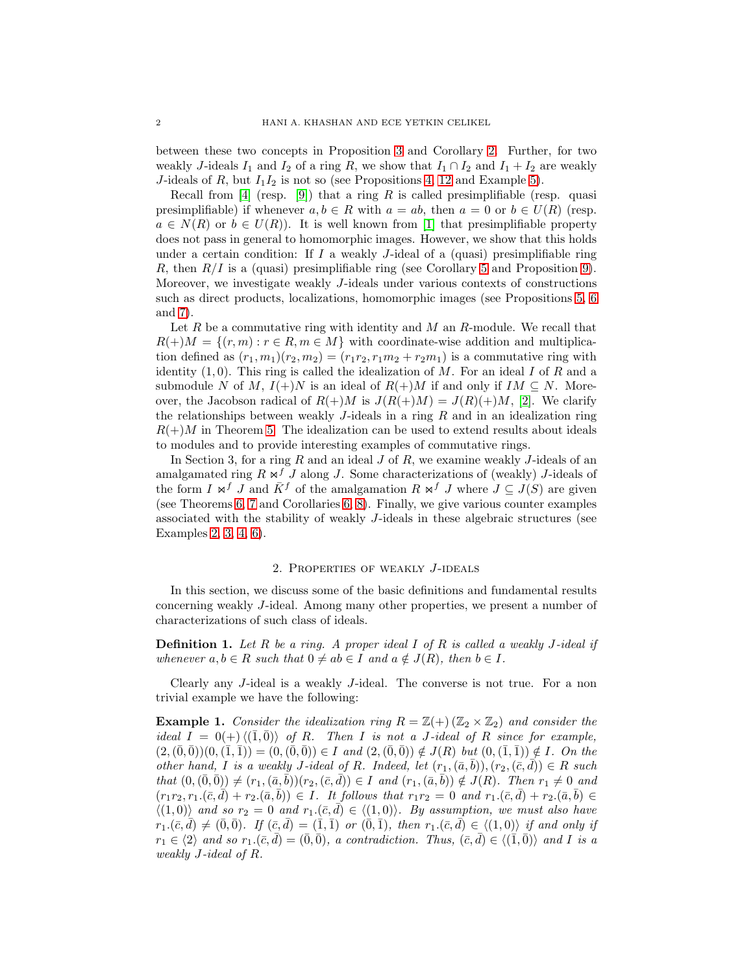between these two concepts in Proposition [3](#page-3-1) and Corollary [2.](#page-4-0) Further, for two weakly J-ideals  $I_1$  and  $I_2$  of a ring R, we show that  $I_1 \cap I_2$  and  $I_1 + I_2$  are weakly J-ideals of R, but  $I_1I_2$  is not so (see Propositions [4,](#page-4-1) [12](#page-7-0) and Example [5\)](#page-12-1).

Recall from [\[4\]](#page-12-2) (resp. [\[9\]](#page-13-2)) that a ring R is called presimplifiable (resp. quasi presimplifiable) if whenever  $a, b \in R$  with  $a = ab$ , then  $a = 0$  or  $b \in U(R)$  (resp.  $a \in N(R)$  or  $b \in U(R)$ . It is well known from [\[1\]](#page-12-3) that presimplifiable property does not pass in general to homomorphic images. However, we show that this holds under a certain condition: If  $I$  a weakly  $J$ -ideal of a (quasi) presimplifiable ring R, then  $R/I$  is a (quasi) presimplifiable ring (see Corollary [5](#page-6-0) and Proposition [9\)](#page-6-1). Moreover, we investigate weakly J-ideals under various contexts of constructions such as direct products, localizations, homomorphic images (see Propositions [5,](#page-4-2) [6](#page-4-3) and [7\)](#page-5-0).

Let R be a commutative ring with identity and M an R-module. We recall that  $R(+)M = \{(r, m) : r \in R, m \in M\}$  with coordinate-wise addition and multiplication defined as  $(r_1, m_1)(r_2, m_2) = (r_1r_2, r_1m_2 + r_2m_1)$  is a commutative ring with identity  $(1,0)$ . This ring is called the idealization of M. For an ideal I of R and a submodule N of M,  $I(+)N$  is an ideal of  $R(+)M$  if and only if  $IM \subseteq N$ . Moreover, the Jacobson radical of  $R(+)M$  is  $J(R(+)M) = J(R)(+)M$ , [\[2\]](#page-12-4). We clarify the relationships between weakly  $J$ -ideals in a ring  $R$  and in an idealization ring  $R(+)M$  in Theorem [5.](#page-8-0) The idealization can be used to extend results about ideals to modules and to provide interesting examples of commutative rings.

In Section 3, for a ring  $R$  and an ideal  $J$  of  $R$ , we examine weakly  $J$ -ideals of an amalgamated ring  $R \Join^f J$  along J. Some characterizations of (weakly) J-ideals of the form I  $\mathbf{x}^f$  J and  $\bar{K}^f$  of the amalgamation  $R \mathbf{x}^f$  J where  $J \subseteq J(S)$  are given (see Theorems [6,](#page-9-0) [7](#page-10-0) and Corollaries [6,](#page-10-1) [8\)](#page-11-0). Finally, we give various counter examples associated with the stability of weakly J-ideals in these algebraic structures (see Examples [2,](#page-11-1) [3,](#page-11-2) [4,](#page-12-5) [6\)](#page-12-6).

## 2. Properties of weakly J-ideals

In this section, we discuss some of the basic definitions and fundamental results concerning weakly J-ideal. Among many other properties, we present a number of characterizations of such class of ideals.

Definition 1. *Let* R *be a ring. A proper ideal* I *of* R *is called a weakly* J*-ideal if whenever*  $a, b \in R$  *such that*  $0 \neq ab \in I$  *and*  $a \notin J(R)$ *, then*  $b \in I$ *.* 

Clearly any J-ideal is a weakly J-ideal. The converse is not true. For a non trivial example we have the following:

<span id="page-1-0"></span>**Example 1.** Consider the idealization ring  $R = \mathbb{Z}(+)$  ( $\mathbb{Z}_2 \times \mathbb{Z}_2$ ) and consider the *ideal*  $I = 0(+)(\overline{1}, \overline{0})$  *of* R*.* Then I *is not a* J-ideal of R *since for example,*  $(2,(\bar{0},\bar{0}))(0,(\bar{1},\bar{1})) = (0,(\bar{0},\bar{0})) \in I$  *and*  $(2,(\bar{0},\bar{0})) \notin J(R)$  *but*  $(0,(\bar{1},\bar{1})) \notin I$ *. On the other hand,* I *is a weakly J-ideal of R. Indeed, let*  $(r_1, (\bar{a}, \bar{b})), (r_2, (\bar{c}, \bar{d})) \in R$  *such*  $that (0,(\bar{0},\bar{0})) \neq (r_1,(\bar{a},b))(r_2,(\bar{c},d)) \in I$  *and*  $(r_1,(\bar{a},b)) \notin J(R)$ *. Then*  $r_1 \neq 0$  *and*  $(r_1r_2, r_1.(\bar{c}, d) + r_2.(\bar{a}, b)) \in I$ . It follows that  $r_1r_2 = 0$  and  $r_1.(\bar{c}, d) + r_2.(\bar{a}, b) \in I$ .  $\langle (1, 0) \rangle$  *and so*  $r_2 = 0$  *and*  $r_1 \cdot (\bar{c}, \bar{d}) \in \langle (1, 0) \rangle$ *. By assumption, we must also have*  $r_1.\overline{(c,d)} \neq (\overline{0}, \overline{0})$ *.* If  $(\overline{c}, \overline{d}) = (\overline{1}, \overline{1})$  or  $(\overline{0}, \overline{1})$ *, then*  $r_1.\overline{(c,d)} \in \langle (1,0) \rangle$  *if and only if*  $r_1 \in \langle 2 \rangle$  and so  $r_1 \cdot (\bar{c}, d) = (0, 0)$ , a contradiction. Thus,  $(\bar{c}, d) \in \langle (1, 0) \rangle$  and I is a *weakly* J*-ideal of* R*.*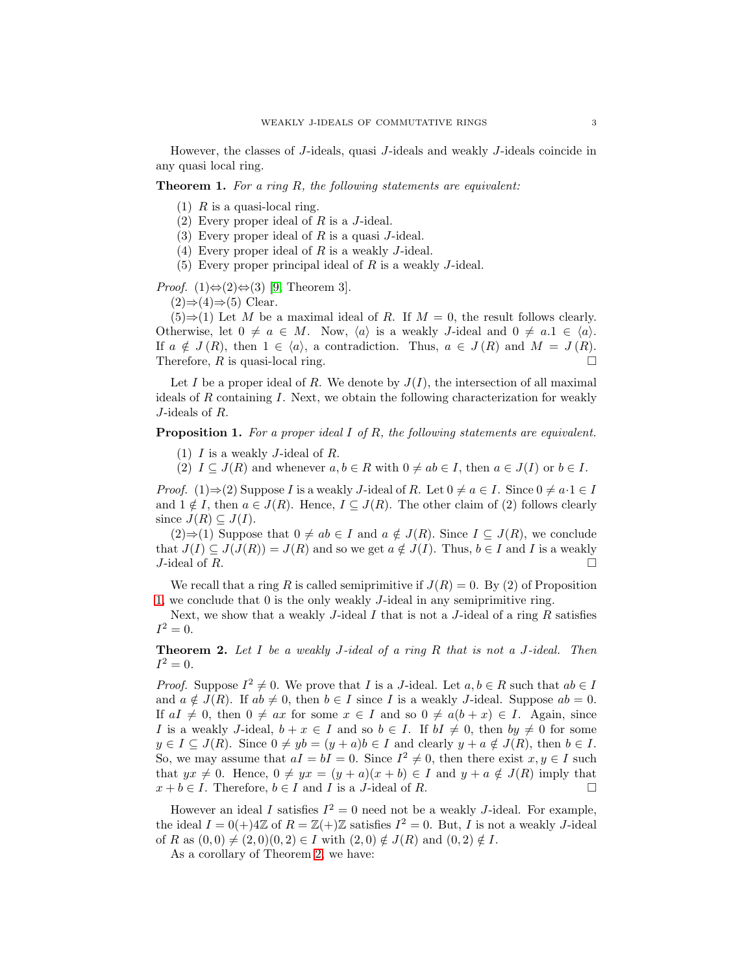However, the classes of J-ideals, quasi J-ideals and weakly J-ideals coincide in any quasi local ring.

## <span id="page-2-0"></span>Theorem 1. *For a ring* R*, the following statements are equivalent:*

- $(1)$  R is a quasi-local ring.
- (2) Every proper ideal of  $R$  is a  $J$ -ideal.
- (3) Every proper ideal of  $R$  is a quasi  $J$ -ideal.
- (4) Every proper ideal of R is a weakly J-ideal.
- (5) Every proper principal ideal of R is a weakly J-ideal.

# *Proof.* (1) $\Leftrightarrow$ (2) $\Leftrightarrow$ (3) [\[9,](#page-13-2) Theorem 3].

 $(2) \Rightarrow (4) \Rightarrow (5)$  Clear.

 $(5) \Rightarrow (1)$  Let M be a maximal ideal of R. If  $M = 0$ , the result follows clearly. Otherwise, let  $0 \neq a \in M$ . Now,  $\langle a \rangle$  is a weakly *J*-ideal and  $0 \neq a.1 \in \langle a \rangle$ . If  $a \notin J(R)$ , then  $1 \in \langle a \rangle$ , a contradiction. Thus,  $a \in J(R)$  and  $M = J(R)$ .<br>Therefore, R is quasi-local ring. Therefore,  $R$  is quasi-local ring.

Let I be a proper ideal of R. We denote by  $J(I)$ , the intersection of all maximal ideals of  $R$  containing  $I$ . Next, we obtain the following characterization for weakly J-ideals of R.

<span id="page-2-1"></span>Proposition 1. *For a proper ideal* I *of* R*, the following statements are equivalent.*

- (1)  $I$  is a weakly  $J$ -ideal of  $R$ .
- (2)  $I \subseteq J(R)$  and whenever  $a, b \in R$  with  $0 \neq ab \in I$ , then  $a \in J(I)$  or  $b \in I$ .

*Proof.* (1)⇒(2) Suppose I is a weakly J-ideal of R. Let  $0 \neq a \in I$ . Since  $0 \neq a \cdot 1 \in I$ and  $1 \notin I$ , then  $a \in J(R)$ . Hence,  $I \subseteq J(R)$ . The other claim of (2) follows clearly since  $J(R) \subseteq J(I)$ .

 $(2) \Rightarrow (1)$  Suppose that  $0 \neq ab \in I$  and  $a \notin J(R)$ . Since  $I \subseteq J(R)$ , we conclude that  $J(I) \subseteq J(J(R)) = J(R)$  and so we get  $a \notin J(I)$ . Thus,  $b \in I$  and I is a weakly *J*-ideal of R. J-ideal of R.

We recall that a ring R is called semiprimitive if  $J(R) = 0$ . By (2) of Proposition [1,](#page-2-1) we conclude that 0 is the only weakly J-ideal in any semiprimitive ring.

Next, we show that a weakly  $J$ -ideal  $I$  that is not a  $J$ -ideal of a ring  $R$  satisfies  $I^2 = 0.$ 

<span id="page-2-2"></span>Theorem 2. *Let* I *be a weakly* J*-ideal of a ring* R *that is not a* J*-ideal. Then*  $I^2 = 0.$ 

*Proof.* Suppose  $I^2 \neq 0$ . We prove that *I* is a *J*-ideal. Let  $a, b \in R$  such that  $ab \in I$ and  $a \notin J(R)$ . If  $ab \neq 0$ , then  $b \in I$  since I is a weakly J-ideal. Suppose  $ab = 0$ . If  $aI \neq 0$ , then  $0 \neq ax$  for some  $x \in I$  and so  $0 \neq a(b + x) \in I$ . Again, since I is a weakly J-ideal,  $b + x \in I$  and so  $b \in I$ . If  $bI \neq 0$ , then  $by \neq 0$  for some  $y \in I \subseteq J(R)$ . Since  $0 \neq yb = (y + a)b \in I$  and clearly  $y + a \notin J(R)$ , then  $b \in I$ . So, we may assume that  $aI = bI = 0$ . Since  $I^2 \neq 0$ , then there exist  $x, y \in I$  such that  $yx \neq 0$ . Hence,  $0 \neq yx = (y + a)(x + b) \in I$  and  $y + a \notin J(R)$  imply that  $x + b \in I$ . Therefore,  $b \in I$  and  $I$  is a *J*-ideal of  $R$ .  $x + b \in I$ . Therefore,  $b \in I$  and I is a J-ideal of R.

However an ideal I satisfies  $I^2 = 0$  need not be a weakly J-ideal. For example, the ideal  $I = 0(+)4\mathbb{Z}$  of  $R = \mathbb{Z}(+) \mathbb{Z}$  satisfies  $I^2 = 0$ . But, I is not a weakly J-ideal of R as  $(0, 0) \neq (2, 0)(0, 2) \in I$  with  $(2, 0) \notin J(R)$  and  $(0, 2) \notin I$ .

As a corollary of Theorem [2,](#page-2-2) we have: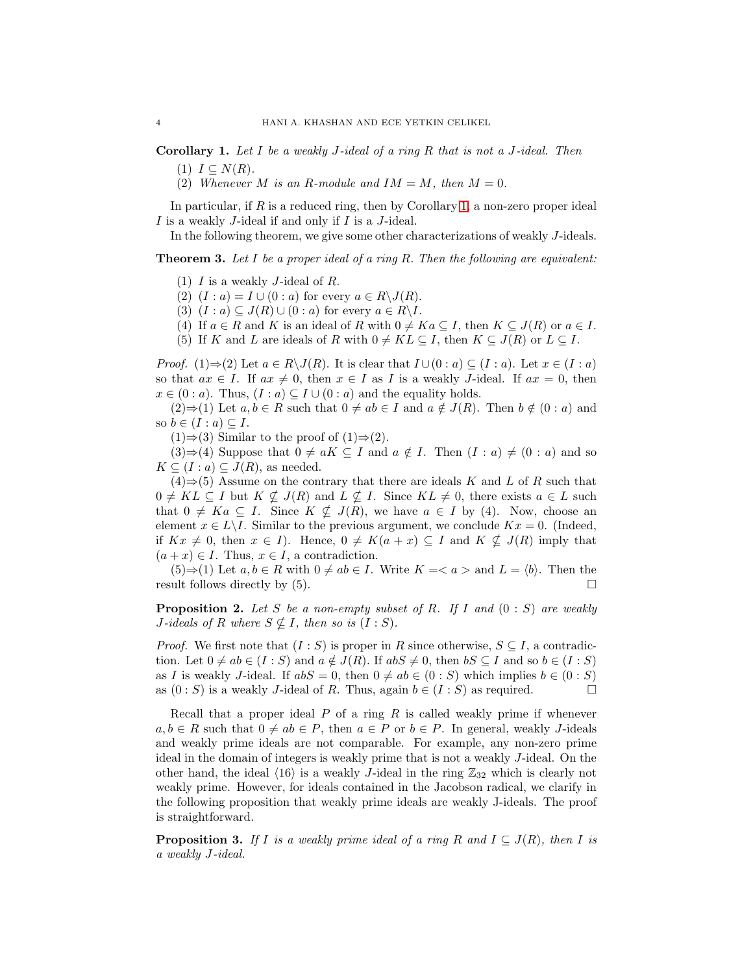<span id="page-3-2"></span>Corollary 1. *Let* I *be a weakly* J*-ideal of a ring* R *that is not a* J*-ideal. Then*  $(1)$   $I \subseteq N(R)$ *.* 

(2) *Whenever M is an R-module and*  $IM = M$ *, then*  $M = 0$ *.* 

In particular, if R is a reduced ring, then by Corollary [1,](#page-3-2) a non-zero proper ideal  $I$  is a weakly  $J$ -ideal if and only if  $I$  is a  $J$ -ideal.

In the following theorem, we give some other characterizations of weakly J-ideals.

<span id="page-3-0"></span>Theorem 3. *Let* I *be a proper ideal of a ring* R. *Then the following are equivalent:*

- (1)  $I$  is a weakly  $J$ -ideal of  $R$ .
- (2)  $(I : a) = I \cup (0 : a)$  for every  $a \in R \backslash J(R)$ .
- (3)  $(I : a) \subseteq J(R) \cup (0 : a)$  for every  $a \in R\backslash I$ .
- (4) If  $a \in R$  and K is an ideal of R with  $0 \neq Ka \subseteq I$ , then  $K \subseteq J(R)$  or  $a \in I$ .
- (5) If K and L are ideals of R with  $0 \neq KL \subseteq I$ , then  $K \subseteq J(R)$  or  $L \subseteq I$ .

*Proof.* (1)⇒(2) Let  $a \in R \setminus J(R)$ . It is clear that  $I \cup (0 : a) \subseteq (I : a)$ . Let  $x \in (I : a)$ so that  $ax \in I$ . If  $ax \neq 0$ , then  $x \in I$  as I is a weakly J-ideal. If  $ax = 0$ , then  $x \in (0 : a)$ . Thus,  $(I : a) \subseteq I \cup (0 : a)$  and the equality holds.

 $(2) \Rightarrow (1)$  Let  $a, b \in R$  such that  $0 \neq ab \in I$  and  $a \notin J(R)$ . Then  $b \notin (0 : a)$  and so  $b \in (I : a) \subseteq I$ .

 $(1) \Rightarrow (3)$  Similar to the proof of  $(1) \Rightarrow (2)$ .

 $(3) \Rightarrow (4)$  Suppose that  $0 \neq aK \subseteq I$  and  $a \notin I$ . Then  $(I : a) \neq (0 : a)$  and so  $K \subseteq (I : a) \subseteq J(R)$ , as needed.

 $(4) \Rightarrow (5)$  Assume on the contrary that there are ideals K and L of R such that  $0 \neq KL \subseteq I$  but  $K \nsubseteq J(R)$  and  $L \nsubseteq I$ . Since  $KL \neq 0$ , there exists  $a \in L$  such that  $0 \neq Ka \subseteq I$ . Since  $K \nsubseteq J(R)$ , we have  $a \in I$  by (4). Now, choose an element  $x \in L \backslash I$ . Similar to the previous argument, we conclude  $Kx = 0$ . (Indeed, if  $Kx \neq 0$ , then  $x \in I$ ). Hence,  $0 \neq K(a + x) \subseteq I$  and  $K \nsubseteq J(R)$  imply that  $(a + x) \in I$ . Thus,  $x \in I$ , a contradiction.

 $(5) \Rightarrow (1)$  Let  $a, b \in R$  with  $0 \neq ab \in I$ . Write  $K = \langle a \rangle$  and  $L = \langle b \rangle$ . Then the result follows directly by (5).

<span id="page-3-3"></span>Proposition 2. *Let* S *be a non-empty subset of* R*. If* I *and* (0 : S) *are weakly J*-ideals of R where  $S \nsubseteq I$ , then so is  $(I : S)$ .

*Proof.* We first note that  $(I : S)$  is proper in R since otherwise,  $S \subseteq I$ , a contradiction. Let  $0 \neq ab \in (I : S)$  and  $a \notin J(R)$ . If  $abS \neq 0$ , then  $bS \subseteq I$  and so  $b \in (I : S)$ as I is weakly J-ideal. If  $abS = 0$ , then  $0 \neq ab \in (0 : S)$  which implies  $b \in (0 : S)$  as  $(0 : S)$  is a weakly J-ideal of B. Thus again  $b \in (I : S)$  as required as  $(0 : S)$  is a weakly J-ideal of R. Thus, again  $b \in (I : S)$  as required.

Recall that a proper ideal  $P$  of a ring  $R$  is called weakly prime if whenever  $a, b \in R$  such that  $0 \neq ab \in P$ , then  $a \in P$  or  $b \in P$ . In general, weakly *J*-ideals and weakly prime ideals are not comparable. For example, any non-zero prime ideal in the domain of integers is weakly prime that is not a weakly J-ideal. On the other hand, the ideal  $\langle 16 \rangle$  is a weakly J-ideal in the ring  $\mathbb{Z}_{32}$  which is clearly not weakly prime. However, for ideals contained in the Jacobson radical, we clarify in the following proposition that weakly prime ideals are weakly J-ideals. The proof is straightforward.

<span id="page-3-1"></span>**Proposition 3.** If I is a weakly prime ideal of a ring R and  $I \subseteq J(R)$ , then I is *a weakly* J*-ideal.*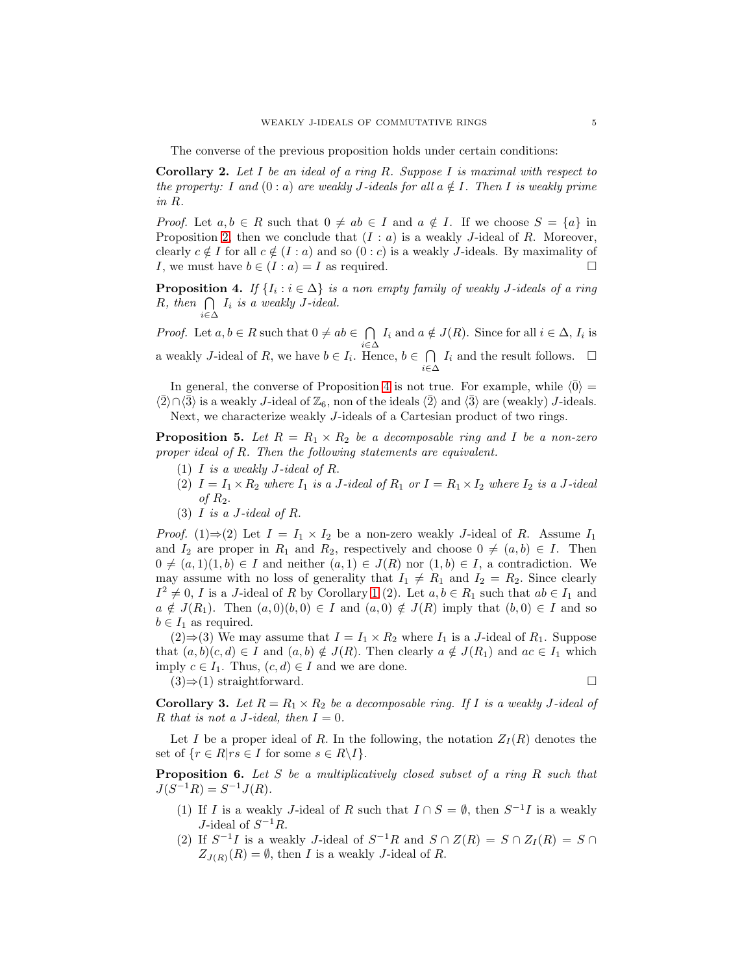The converse of the previous proposition holds under certain conditions:

<span id="page-4-0"></span>Corollary 2. *Let* I *be an ideal of a ring* R*. Suppose* I *is maximal with respect to the property:* I and  $(0 : a)$  are weakly J-ideals for all  $a \notin I$ . Then I is weakly prime *in* R*.*

*Proof.* Let  $a, b \in R$  such that  $0 \neq ab \in I$  and  $a \notin I$ . If we choose  $S = \{a\}$  in Proposition [2,](#page-3-3) then we conclude that  $(I : a)$  is a weakly J-ideal of R. Moreover, clearly  $c \notin I$  for all  $c \notin (I : a)$  and so  $(0 : c)$  is a weakly *J*-ideals. By maximality of *I*, we must have  $b \in (I : a) = I$  as required. I, we must have  $b \in (I : a) = I$  as required.

<span id="page-4-1"></span>**Proposition 4.** *If*  $\{I_i : i \in \Delta\}$  *is a non empty family of weakly J-ideals of a ring*  $R$ *, then*  $\bigcap I_i$  *is a weakly J-ideal.* i∈∆

*Proof.* Let  $a, b \in R$  such that  $0 \neq ab \in \bigcap_{i=1}^{\infty} A_i$  $\bigcap_{i\in\Delta} I_i$  and  $a \notin J(R)$ . Since for all  $i \in \Delta$ ,  $I_i$  is a weakly J-ideal of R, we have  $b \in I_i$ . Hence,  $b \in \bigcap$  $\bigcap_{i\in\Delta} I_i$  and the result follows.  $\Box$ 

In general, the converse of Proposition [4](#page-4-1) is not true. For example, while  $\langle \bar{0} \rangle =$  $\langle 2 \rangle \cap \langle 3 \rangle$  is a weakly J-ideal of  $\mathbb{Z}_6$ , non of the ideals  $\langle 2 \rangle$  and  $\langle 3 \rangle$  are (weakly) J-ideals. Next, we characterize weakly J-ideals of a Cartesian product of two rings.

<span id="page-4-2"></span>**Proposition 5.** Let  $R = R_1 \times R_2$  be a decomposable ring and I be a non-zero *proper ideal of* R*. Then the following statements are equivalent.*

- (1) I *is a weakly* J*-ideal of* R.
- (2)  $I = I_1 \times R_2$  *where*  $I_1$  *is a* J-ideal of  $R_1$  *or*  $I = R_1 \times I_2$  *where*  $I_2$  *is a* J-ideal *of* R2.
- (3) I *is a* J*-ideal of* R.

*Proof.* (1)⇒(2) Let  $I = I_1 \times I_2$  be a non-zero weakly J-ideal of R. Assume  $I_1$ and  $I_2$  are proper in  $R_1$  and  $R_2$ , respectively and choose  $0 \neq (a, b) \in I$ . Then  $0 \neq (a, 1)(1, b) \in I$  and neither  $(a, 1) \in J(R)$  nor  $(1, b) \in I$ , a contradiction. We may assume with no loss of generality that  $I_1 \neq R_1$  and  $I_2 = R_2$ . Since clearly  $I^2 \neq 0, I$  is a J-ideal of R by Corollary [1](#page-3-2) (2). Let  $a, b \in R_1$  such that  $ab \in I_1$  and  $a \notin J(R_1)$ . Then  $(a, 0)(b, 0) \in I$  and  $(a, 0) \notin J(R)$  imply that  $(b, 0) \in I$  and so  $b \in I_1$  as required.

 $(2)$  ⇒ (3) We may assume that  $I = I_1 \times R_2$  where  $I_1$  is a J-ideal of  $R_1$ . Suppose that  $(a, b)(c, d) \in I$  and  $(a, b) \notin J(R)$ . Then clearly  $a \notin J(R_1)$  and  $ac \in I_1$  which imply  $c \in I_1$ . Thus,  $(c, d) \in I$  and we are done.

 $(3)$ ⇒(1) straightforward.

**Corollary 3.** Let  $R = R_1 \times R_2$  be a decomposable ring. If I is a weakly J-ideal of R that is not a J-ideal, then  $I = 0$ .

Let I be a proper ideal of R. In the following, the notation  $Z_I(R)$  denotes the set of  $\{r \in R | rs \in I \text{ for some } s \in R \backslash I\}.$ 

<span id="page-4-3"></span>Proposition 6. *Let* S *be a multiplicatively closed subset of a ring* R *such that*  $J(S^{-1}R) = S^{-1}J(R)$ .

- (1) If I is a weakly J-ideal of R such that  $I \cap S = \emptyset$ , then  $S^{-1}I$  is a weakly J-ideal of  $S^{-1}R$ .
- (2) If  $S^{-1}I$  is a weakly J-ideal of  $S^{-1}R$  and  $S \cap Z(R) = S \cap Z_I(R) = S \cap \overline{Z_I(R)}$  $Z_{J(R)}(R) = \emptyset$ , then I is a weakly J-ideal of R.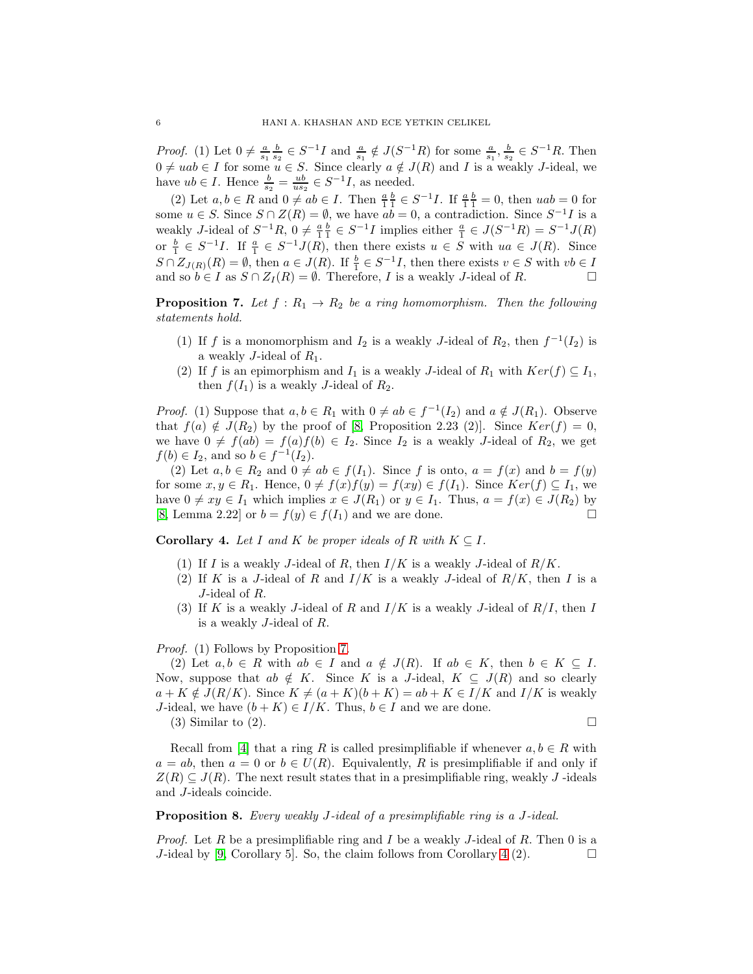*Proof.* (1) Let  $0 \neq \frac{a}{s_1} \frac{b}{s_2} \in S^{-1}I$  and  $\frac{a}{s_1} \notin J(S^{-1}R)$  for some  $\frac{a}{s_1}, \frac{b}{s_2} \in S^{-1}R$ . Then  $0 \neq uab \in I$  for some  $u \in S$ . Since clearly  $a \notin J(R)$  and I is a weakly J-ideal, we have  $ub \in I$ . Hence  $\frac{b}{s_2} = \frac{ub}{us_2} \in S^{-1}I$ , as needed.

(2) Let  $a, b \in R$  and  $0 \neq ab \in I$ . Then  $\frac{a}{1} \frac{b}{1} \in S^{-1}I$ . If  $\frac{a}{1} \frac{b}{1} = 0$ , then  $uab = 0$  for some  $u \in S$ . Since  $S \cap Z(R) = \emptyset$ , we have  $ab = 0$ , a contradiction. Since  $S^{-1}I$  is a weakly J-ideal of  $S^{-1}R$ ,  $0 \neq \frac{a}{1} \frac{b}{1} \in S^{-1}I$  implies either  $\frac{a}{1} \in J(S^{-1}R) = S^{-1}J(R)$ or  $\frac{b}{1} \in S^{-1}I$ . If  $\frac{a}{1} \in S^{-1}J(R)$ , then there exists  $u \in S$  with  $ua \in J(R)$ . Since  $S \cap Z_{J(R)}(R) = \emptyset$ , then  $a \in J(R)$ . If  $\frac{b}{1} \in S^{-1}I$ , then there exists  $v \in S$  with  $vb \in I$ and so  $b \in I$  as  $S \cap Z_I(R) = \emptyset$ . Therefore, *I* is a weakly *J*-ideal of *R*.

<span id="page-5-0"></span>**Proposition 7.** Let  $f : R_1 \to R_2$  be a ring homomorphism. Then the following *statements hold.*

- (1) If f is a monomorphism and  $I_2$  is a weakly J-ideal of  $R_2$ , then  $f^{-1}(I_2)$  is a weakly *J*-ideal of  $R_1$ .
- (2) If f is an epimorphism and  $I_1$  is a weakly J-ideal of  $R_1$  with  $Ker(f) \subseteq I_1$ , then  $f(I_1)$  is a weakly J-ideal of  $R_2$ .

*Proof.* (1) Suppose that  $a, b \in R_1$  with  $0 \neq ab \in f^{-1}(I_2)$  and  $a \notin J(R_1)$ . Observe that  $f(a) \notin J(R_2)$  by the proof of [\[8,](#page-13-1) Proposition 2.23 (2)]. Since  $Ker(f) = 0$ , we have  $0 \neq f(ab) = f(a)f(b) \in I_2$ . Since  $I_2$  is a weakly J-ideal of  $R_2$ , we get  $f(b) \in I_2$ , and so  $b \in f^{-1}(I_2)$ .

(2) Let  $a, b \in R_2$  and  $0 \neq ab \in f(I_1)$ . Since f is onto,  $a = f(x)$  and  $b = f(y)$ for some  $x, y \in R_1$ . Hence,  $0 \neq f(x)f(y) = f(xy) \in f(I_1)$ . Since  $Ker(f) \subseteq I_1$ , we have  $0 \neq xy \in I_1$  which implies  $x \in J(R_1)$  or  $y \in I_1$ . Thus,  $a = f(x) \in J(R_2)$  by [8] Lemma 2.22] or  $b = f(y) \in f(I_1)$  and we are done [\[8,](#page-13-1) Lemma 2.22] or  $b = f(y) \in f(I_1)$  and we are done.

<span id="page-5-1"></span>**Corollary 4.** Let I and K be proper ideals of R with  $K \subseteq I$ .

- (1) If I is a weakly J-ideal of R, then  $I/K$  is a weakly J-ideal of  $R/K$ .
- (2) If K is a J-ideal of R and  $I/K$  is a weakly J-ideal of  $R/K$ , then I is a J-ideal of R.
- (3) If K is a weakly J-ideal of R and  $I/K$  is a weakly J-ideal of  $R/I$ , then I is a weakly J-ideal of R.

# *Proof.* (1) Follows by Proposition [7.](#page-5-0)

(2) Let  $a, b \in R$  with  $ab \in I$  and  $a \notin J(R)$ . If  $ab \in K$ , then  $b \in K \subseteq I$ . Now, suppose that  $ab \notin K$ . Since K is a J-ideal,  $K \subseteq J(R)$  and so clearly  $a + K \notin J(R/K)$ . Since  $K \neq (a + K)(b + K) = ab + K \in I/K$  and  $I/K$  is weakly J-ideal, we have  $(b + K) \in I/K$ . Thus,  $b \in I$  and we are done. (3) Similar to (2).

Recall from [\[4\]](#page-12-2) that a ring R is called presimplifiable if whenever  $a, b \in R$  with  $a = ab$ , then  $a = 0$  or  $b \in U(R)$ . Equivalently, R is presimplifiable if and only if  $Z(R) \subseteq J(R)$ . The next result states that in a presimplifiable ring, weakly J -ideals and J-ideals coincide.

<span id="page-5-2"></span>Proposition 8. *Every weakly* J*-ideal of a presimplifiable ring is a* J*-ideal.*

*Proof.* Let R be a presimplifiable ring and I be a weakly J-ideal of R. Then 0 is a J-ideal by [\[9,](#page-13-2) Corollary 5]. So, the claim follows from Corollary [4](#page-5-1) (2).  $\Box$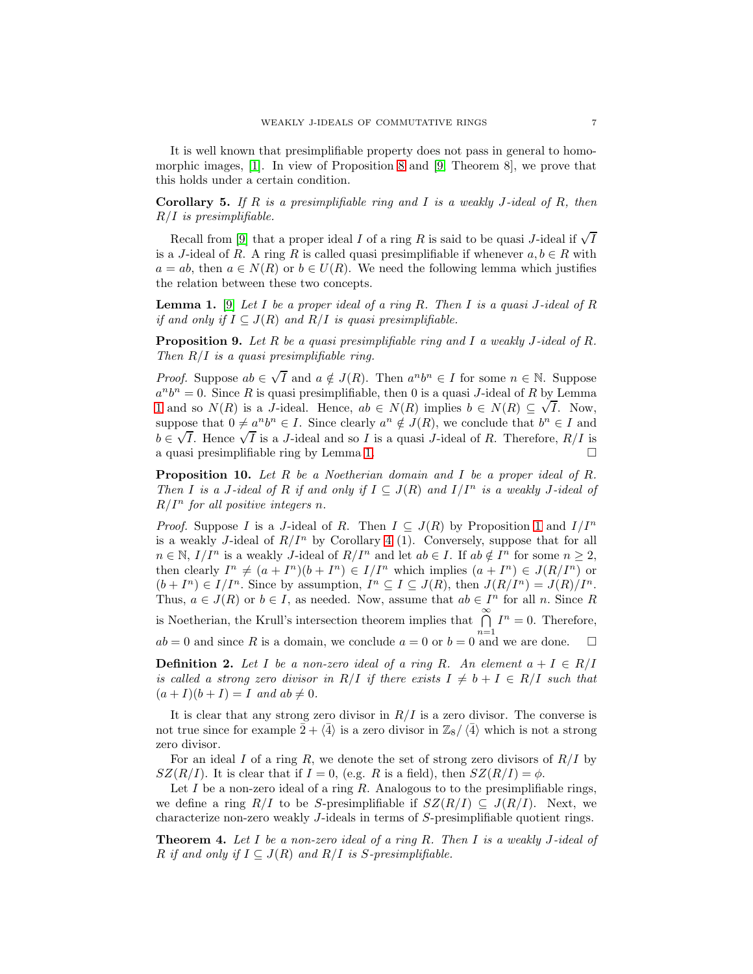It is well known that presimplifiable property does not pass in general to homomorphic images, [\[1\]](#page-12-3). In view of Proposition [8](#page-5-2) and [\[9,](#page-13-2) Theorem 8], we prove that this holds under a certain condition.

<span id="page-6-0"></span>Corollary 5. *If* R *is a presimplifiable ring and* I *is a weakly* J*-ideal of* R*, then* R/I *is presimplifiable.*

Recall from [\[9\]](#page-13-2) that a proper ideal  $I$  of a ring  $R$  is said to be quasi J-ideal if  $\sqrt{I}$ is a J-ideal of R. A ring R is called quasi presimplifiable if whenever  $a, b \in R$  with  $a = ab$ , then  $a \in N(R)$  or  $b \in U(R)$ . We need the following lemma which justifies the relation between these two concepts.

<span id="page-6-2"></span>Lemma 1. [\[9\]](#page-13-2) *Let* I *be a proper ideal of a ring* R*. Then* I *is a quasi* J*-ideal of* R *if and only if*  $I \subseteq J(R)$  *and*  $R/I$  *is quasi presimplifiable.* 

<span id="page-6-1"></span>Proposition 9. *Let* R *be a quasi presimplifiable ring and* I *a weakly* J*-ideal of* R*. Then* R/I *is a quasi presimplifiable ring.*

*Proof.* Suppose  $ab \in \sqrt{I}$  and  $a \notin J(R)$ . Then  $a^n b^n \in I$  for some  $n \in \mathbb{N}$ . Suppose  $a^n b^n = 0$ . Since R is quasi presimplifiable, then 0 is a quasi J-ideal of R by Lemma [1](#page-6-2) and so  $N(R)$  is a J-ideal. Hence,  $ab \in N(R)$  implies  $b \in N(R) \subseteq \sqrt{I}$ . Now, suppose that  $0 \neq a^n b^n \in I$ . Since clearly  $a^n \notin J(R)$ , we conclude that  $b^n \in I$  and  $b \in \sqrt{I}$ . Hence  $\sqrt{I}$  is a *J*-ideal and so *I* is a quasi *J*-ideal of *R*. Therefore, *R*/*I* is a quasi presimplifiable ring by Lemma [1.](#page-6-2)

Proposition 10. *Let* R *be a Noetherian domain and* I *be a proper ideal of* R*. Then I is a J*-*ideal of R if and only if*  $I \subseteq J(R)$  *and*  $I/I^n$  *is a weakly J*-*ideal of*  $R/I<sup>n</sup>$  *for all positive integers n.* 

*Proof.* Suppose I is a J-ideal of R. Then  $I \subseteq J(R)$  by Proposition [1](#page-2-1) and  $I/I<sup>n</sup>$ is a weakly J-ideal of  $R/I^n$  by Corollary [4](#page-5-1) (1). Conversely, suppose that for all  $n \in \mathbb{N}, I/I<sup>n</sup>$  is a weakly *J*-ideal of  $R/I<sup>n</sup>$  and let  $ab \in I$ . If  $ab \notin I<sup>n</sup>$  for some  $n \ge 2$ , then clearly  $I^n \neq (a + I^n)(b + I^n) \in I/I^n$  which implies  $(a + I^n) \in J(R/I^n)$  or  $(b+I<sup>n</sup>) \in I/I<sup>n</sup>$ . Since by assumption,  $I<sup>n</sup> \subseteq I \subseteq J(R)$ , then  $J(R/I<sup>n</sup>) = J(R)/I<sup>n</sup>$ . Thus,  $a \in J(R)$  or  $b \in I$ , as needed. Now, assume that  $ab \in I^n$  for all n. Since R is Noetherian, the Krull's intersection theorem implies that  $\bigcap_{n=1}^{\infty} I^n = 0$ . Therefore,  $ab = 0$  and since R is a domain, we conclude  $a = 0$  or  $b = 0$  and we are done.

**Definition 2.** Let I be a non-zero ideal of a ring R. An element  $a + I \in R/I$ *is called a strong zero divisor in*  $R/I$  *if there exists*  $I \neq b + I \in R/I$  *such that*  $(a+I)(b+I) = I$  *and*  $ab \neq 0$ *.* 

It is clear that any strong zero divisor in  $R/I$  is a zero divisor. The converse is not true since for example  $\bar{2} + \langle \bar{4} \rangle$  is a zero divisor in  $\mathbb{Z}_8/\langle \bar{4} \rangle$  which is not a strong zero divisor.

For an ideal I of a ring R, we denote the set of strong zero divisors of  $R/I$  by  $SZ(R/I)$ . It is clear that if  $I = 0$ , (e.g. R is a field), then  $SZ(R/I) = \phi$ .

Let I be a non-zero ideal of a ring R. Analogous to to the presimplifiable rings, we define a ring  $R/I$  to be S-presimplifiable if  $SZ(R/I) \subseteq J(R/I)$ . Next, we characterize non-zero weakly J-ideals in terms of S-presimplifiable quotient rings.

Theorem 4. *Let* I *be a non-zero ideal of a ring* R*. Then* I *is a weakly* J*-ideal of* R *if and only if*  $I \subseteq J(R)$  *and*  $R/I$  *is* S-presimplifiable.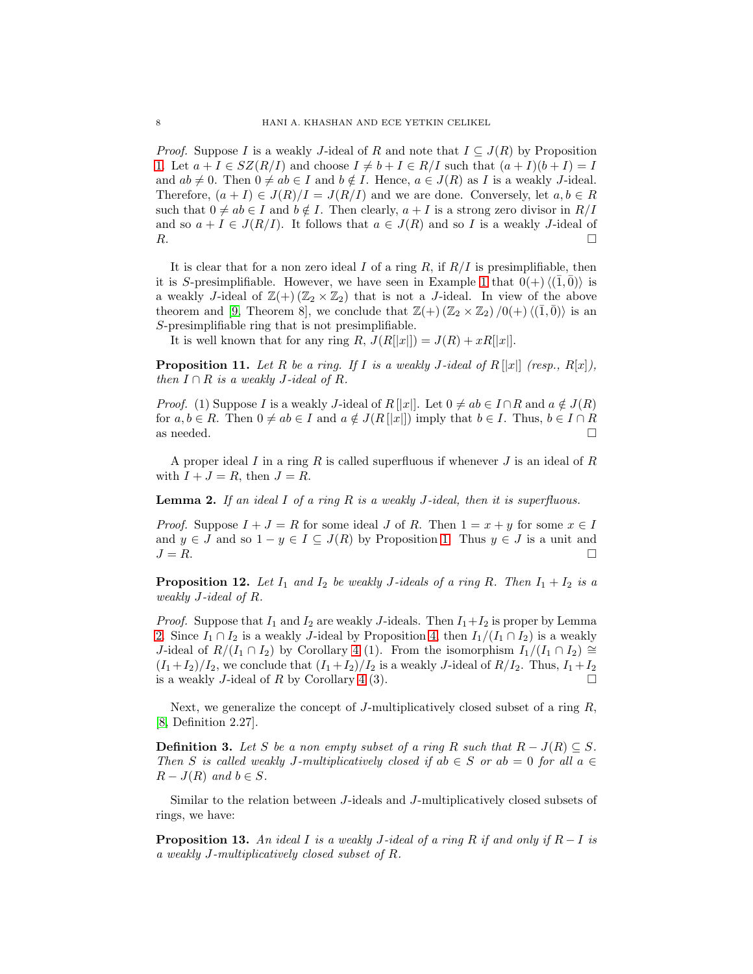*Proof.* Suppose I is a weakly J-ideal of R and note that  $I \subseteq J(R)$  by Proposition [1.](#page-2-1) Let  $a + I \in SZ(R/I)$  and choose  $I \neq b + I \in R/I$  such that  $(a + I)(b + I) = I$ and  $ab \neq 0$ . Then  $0 \neq ab \in I$  and  $b \notin I$ . Hence,  $a \in J(R)$  as I is a weakly J-ideal. Therefore,  $(a + I) \in J(R)/I = J(R/I)$  and we are done. Conversely, let  $a, b \in R$ such that  $0 \neq ab \in I$  and  $b \notin I$ . Then clearly,  $a + I$  is a strong zero divisor in  $R/I$ and so  $a + I \in J(R/I)$ . It follows that  $a \in J(R)$  and so I is a weakly J-ideal of R.  $R$ .

It is clear that for a non zero ideal  $I$  of a ring  $R$ , if  $R/I$  is presimplifiable, then it is S-presimplifiable. However, we have seen in Example [1](#page-1-0) that  $0(+)\langle(\overline{1},\overline{0})\rangle$  is a weakly J-ideal of  $\mathbb{Z}(+)$  ( $\mathbb{Z}_2 \times \mathbb{Z}_2$ ) that is not a J-ideal. In view of the above theorem and [\[9,](#page-13-2) Theorem 8], we conclude that  $\mathbb{Z}(+)$  ( $\mathbb{Z}_2 \times \mathbb{Z}_2$ )/0(+) $\langle (\overline{1}, \overline{0}) \rangle$  is an S-presimplifiable ring that is not presimplifiable.

It is well known that for any ring R,  $J(R[|x|]) = J(R) + xR[|x|].$ 

**Proposition 11.** Let R be a ring. If I is a weakly J-ideal of  $R[[x]]$  (resp.,  $R[x]$ ), *then*  $I \cap R$  *is a weakly J-ideal of*  $R$ *.* 

*Proof.* (1) Suppose I is a weakly J-ideal of R ||x||. Let  $0 \neq ab \in I \cap R$  and  $a \notin J(R)$ for  $a, b \in R$ . Then  $0 \neq ab \in I$  and  $a \notin J(R[[x]])$  imply that  $b \in I$ . Thus,  $b \in I \cap R$  as needed. as needed.  $\square$ 

A proper ideal I in a ring R is called superfluous if whenever J is an ideal of R with  $I + J = R$ , then  $J = R$ .

<span id="page-7-1"></span>Lemma 2. *If an ideal* I *of a ring* R *is a weakly* J*-ideal, then it is superfluous.*

*Proof.* Suppose  $I + J = R$  for some ideal J of R. Then  $1 = x + y$  for some  $x \in I$ and  $y \in J$  and so  $1 - y \in I \subseteq J(R)$  by Proposition [1.](#page-2-1) Thus  $y \in J$  is a unit and  $J = R$ .  $J = R$ .

<span id="page-7-0"></span>**Proposition 12.** Let  $I_1$  and  $I_2$  be weakly J-ideals of a ring R. Then  $I_1 + I_2$  is a *weakly* J*-ideal of* R*.*

*Proof.* Suppose that  $I_1$  and  $I_2$  are weakly J-ideals. Then  $I_1 + I_2$  is proper by Lemma [2.](#page-7-1) Since  $I_1 \cap I_2$  is a weakly J-ideal by Proposition [4,](#page-4-1) then  $I_1/(I_1 \cap I_2)$  is a weakly J-ideal of  $R/(I_1 \cap I_2)$  by Corollary [4](#page-5-1) (1). From the isomorphism  $I_1/(I_1 \cap I_2) \cong$  $(I_1+I_2)/I_2$ , we conclude that  $(I_1+I_2)/I_2$  is a weakly J-ideal of  $R/I_2$ . Thus,  $I_1+I_2$ is a weakly *J*-ideal of R by Corollary [4](#page-5-1) (3).  $\square$ 

Next, we generalize the concept of J-multiplicatively closed subset of a ring  $R$ , [\[8,](#page-13-1) Definition 2.27].

**Definition 3.** Let S be a non empty subset of a ring R such that  $R - J(R) \subset S$ . *Then* S is called weakly J-multiplicatively closed if  $ab \in S$  or  $ab = 0$  for all  $a \in$  $R - J(R)$  *and*  $b \in S$ .

Similar to the relation between J-ideals and J-multiplicatively closed subsets of rings, we have:

Proposition 13. *An ideal* I *is a weakly* J*-ideal of a ring* R *if and only if* R − I *is a weakly* J*-multiplicatively closed subset of* R*.*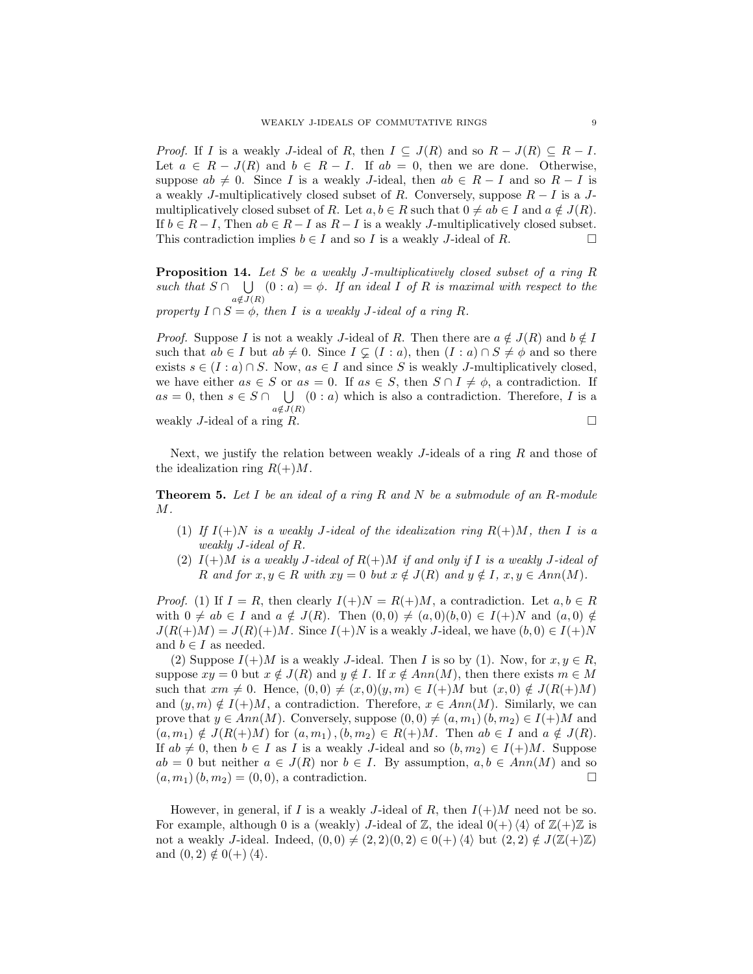*Proof.* If I is a weakly J-ideal of R, then  $I \subseteq J(R)$  and so  $R - J(R) \subseteq R - I$ . Let  $a \in R - J(R)$  and  $b \in R - I$ . If  $ab = 0$ , then we are done. Otherwise, suppose  $ab \neq 0$ . Since I is a weakly J-ideal, then  $ab \in R - I$  and so  $R - I$  is a weakly J-multiplicatively closed subset of R. Conversely, suppose  $R - I$  is a Jmultiplicatively closed subset of R. Let  $a, b \in R$  such that  $0 \neq ab \in I$  and  $a \notin J(R)$ . If  $b \in R - I$ , Then  $ab \in R - I$  as  $R - I$  is a weakly *J*-multiplicatively closed subset.<br>This contradiction implies  $b \in I$  and so *I* is a weakly *J*-ideal of *R*. □ This contradiction implies  $b \in I$  and so I is a weakly J-ideal of R.

Proposition 14. *Let* S *be a weakly* J*-multiplicatively closed subset of a ring* R *such that*  $S \cap \bigcup_{\alpha \in S} (0 : a) = \phi$ . If an ideal I of R is maximal with respect to the  $a \notin \bar{J}(R)$ 

*property*  $I \cap S = \emptyset$ *, then I is a weakly J*-*ideal of a ring R.* 

*Proof.* Suppose I is not a weakly J-ideal of R. Then there are  $a \notin J(R)$  and  $b \notin I$ such that  $ab \in I$  but  $ab \neq 0$ . Since  $I \subsetneq (I : a)$ , then  $(I : a) \cap S \neq \emptyset$  and so there exists  $s \in (I : a) \cap S$ . Now,  $as \in I$  and since S is weakly J-multiplicatively closed, we have either  $as \in S$  or  $as = 0$ . If  $as \in S$ , then  $S \cap I \neq \emptyset$ , a contradiction. If  $as = 0$ , then  $s \in S \cap \bigcup_{(s \in S) \setminus S} (0 : a)$  which is also a contradiction. Therefore, I is a  $a \notin \overline{J}(R)$ weakly J-ideal of a ring R.

Next, we justify the relation between weakly  $J$ -ideals of a ring  $R$  and those of the idealization ring  $R(+)M$ .

<span id="page-8-0"></span>Theorem 5. *Let* I *be an ideal of a ring* R *and* N *be a submodule of an* R*-module* M*.*

- (1) If  $I(+)$ N *is a weakly J-ideal of the idealization ring*  $R(+)M$ *, then* I *is a weakly* J*-ideal of* R*.*
- (2)  $I(+)M$  *is a weakly J-ideal of*  $R(+)M$  *if and only if* I *is a weakly J-ideal of* R and for  $x, y \in R$  with  $xy = 0$  but  $x \notin J(R)$  and  $y \notin I$ ,  $x, y \in Ann(M)$ .

*Proof.* (1) If  $I = R$ , then clearly  $I(+)N = R(+)M$ , a contradiction. Let  $a, b \in R$ with  $0 \neq ab \in I$  and  $a \notin J(R)$ . Then  $(0,0) \neq (a,0)(b,0) \in I(+)N$  and  $(a,0) \notin I$  $J(R(+)M) = J(R)(+)M$ . Since  $I(+)N$  is a weakly J-ideal, we have  $(b, 0) \in I(+)N$ and  $b \in I$  as needed.

(2) Suppose  $I(+)M$  is a weakly J-ideal. Then I is so by (1). Now, for  $x, y \in R$ , suppose  $xy = 0$  but  $x \notin J(R)$  and  $y \notin I$ . If  $x \notin Ann(M)$ , then there exists  $m \in M$ such that  $xm \neq 0$ . Hence,  $(0, 0) \neq (x, 0)(y, m) \in I(+)M$  but  $(x, 0) \notin J(R(+)M)$ and  $(y, m) \notin I(+)M$ , a contradiction. Therefore,  $x \in Ann(M)$ . Similarly, we can prove that  $y \in Ann(M)$ . Conversely, suppose  $(0,0) \neq (a, m_1)$   $(b, m_2) \in I(+)M$  and  $(a, m_1) \notin J(R(+)M)$  for  $(a, m_1), (b, m_2) \in R(+)M$ . Then  $ab \in I$  and  $a \notin J(R)$ . If  $ab \neq 0$ , then  $b \in I$  as I is a weakly J-ideal and so  $(b, m_2) \in I(+)M$ . Suppose  $ab = 0$  but neither  $a \in J(R)$  nor  $b \in I$ . By assumption,  $a, b \in Ann(M)$  and so  $(a, m_1) (b, m_2) = (0, 0)$ , a contradiction.  $(a, m_1) (b, m_2) = (0, 0)$ , a contradiction.

However, in general, if I is a weakly J-ideal of R, then  $I(+)M$  need not be so. For example, although 0 is a (weakly) J-ideal of  $\mathbb{Z}$ , the ideal  $0(+)\langle 4\rangle$  of  $\mathbb{Z}(+) \mathbb{Z}$  is not a weakly J-ideal. Indeed,  $(0,0) \neq (2, 2)(0, 2) \in 0(+)$   $\langle 4 \rangle$  but  $(2, 2) \notin J(\mathbb{Z}(+) \mathbb{Z})$ and  $(0, 2) \notin 0(+) \langle 4 \rangle$ .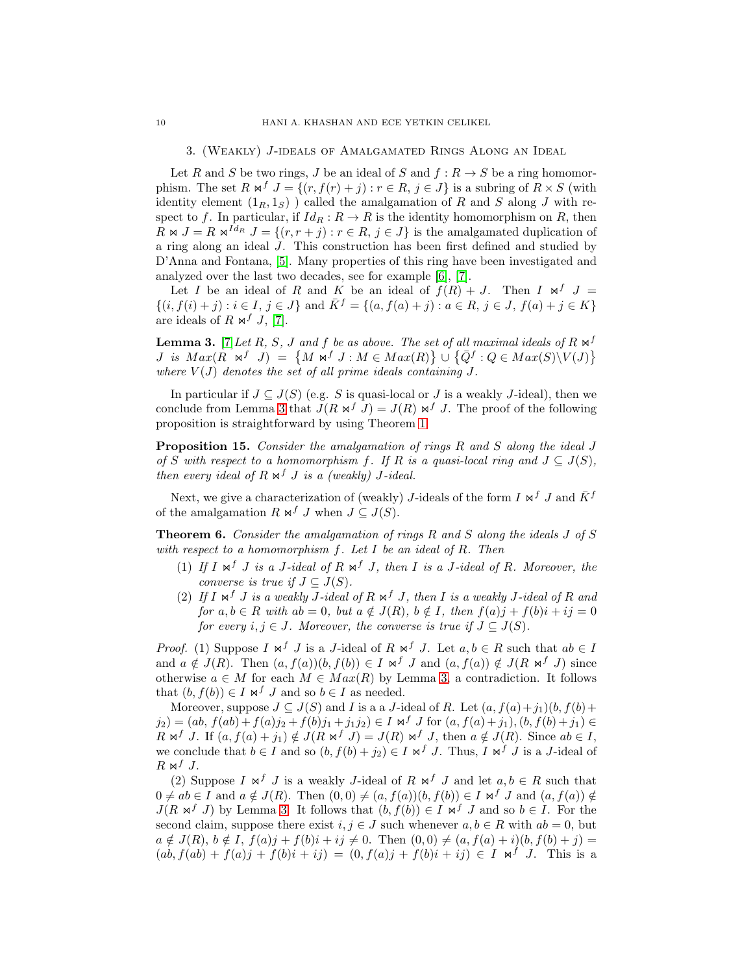#### 3. (Weakly) J-ideals of Amalgamated Rings Along an Ideal

Let R and S be two rings, J be an ideal of S and  $f: R \to S$  be a ring homomorphism. The set R  $\mathbb{N}^f$   $J = \{(r, f(r) + j) : r \in \mathbb{R}, j \in J\}$  is a subring of  $R \times S$  (with identity element  $(1_R, 1_S)$  ) called the amalgamation of R and S along J with respect to f. In particular, if  $Id_R : R \to R$  is the identity homomorphism on R, then  $R \Join J = R \Join^{Id_R} J = \{(r, r + j) : r \in R, j \in J\}$  is the amalgamated duplication of a ring along an ideal J. This construction has been first defined and studied by D'Anna and Fontana, [\[5\]](#page-13-3). Many properties of this ring have been investigated and analyzed over the last two decades, see for example [\[6\]](#page-13-4), [\[7\]](#page-13-5).

Let I be an ideal of R and K be an ideal of  $f(R) + J$ . Then I  $\bowtie^f J =$  $\{(i, f(i) + j) : i \in I, j \in J\}$  and  $\overline{K} = \{(a, f(a) + j) : a \in R, j \in J, f(a) + j \in K\}$ are ideals of  $R \bowtie^f J$ , [\[7\]](#page-13-5).

<span id="page-9-1"></span>**Lemma 3.** [\[7\]](#page-13-5) Let R, S, J and f be as above. The set of all maximal ideals of R  $\Join$ <sup>f</sup> *J* is  $Max(R \times f) = \{M \times f \cup M \in Max(R)\} \cup \{\overline{Q}^f : Q \in Max(S) \setminus V(J)\}$ where  $V(J)$  denotes the set of all prime ideals containing  $J$ .

In particular if  $J \subseteq J(S)$  (e.g. S is quasi-local or J is a weakly J-ideal), then we conclude from Lemma [3](#page-9-1) that  $J(R \Join^{f} J) = J(R) \Join^{f} J$ . The proof of the following proposition is straightforward by using Theorem [1.](#page-2-0)

Proposition 15. *Consider the amalgamation of rings* R *and* S *along the ideal* J *of* S with respect to a homomorphism f. If R is a quasi-local ring and  $J \subseteq J(S)$ , *then every ideal of*  $R \Join^f J$  *is a (weakly) J-ideal.* 

Next, we give a characterization of (weakly) J-ideals of the form I  $\Join^{f} J$  and  $\overline{K}^{f}$ of the amalgamation R  $\mathsf{M}^f$  J when  $J \subset J(S)$ .

<span id="page-9-0"></span>Theorem 6. *Consider the amalgamation of rings* R *and* S *along the ideals* J *of* S *with respect to a homomorphism* f*. Let* I *be an ideal of* R*. Then*

- (1) If  $I \Join Y$  *is a* J-ideal of  $R \Join Y$  *J, then*  $I$  *is a* J-ideal of  $R$ *. Moreover, the converse is true if*  $J \subseteq J(S)$ *.*
- (2) If  $I \Join Y$  *is a weakly J-ideal of*  $R \Join Y$  *J, then*  $I$  *is a weakly J-ideal of*  $R$  *and for*  $a, b \in R$  *with*  $ab = 0$ *, but*  $a \notin J(R)$ *,*  $b \notin I$ *, then*  $f(a)j + f(b)i + ij = 0$ *for every*  $i, j \in J$ *. Moreover, the converse is true if*  $J \subset J(S)$ *.*

*Proof.* (1) Suppose  $I \Join f J$  is a J-ideal of  $R \Join f J$ . Let  $a, b \in R$  such that  $ab \in I$ and  $a \notin J(R)$ . Then  $(a, f(a))(b, f(b)) \in I \bowtie^f J$  and  $(a, f(a)) \notin J(R \bowtie^f J)$  since otherwise  $a \in M$  for each  $M \in Max(R)$  by Lemma [3,](#page-9-1) a contradiction. It follows that  $(b, f(b)) \in I \bowtie^f J$  and so  $b \in I$  as needed.

Moreover, suppose  $J \subseteq J(S)$  and I is a a J-ideal of R. Let  $(a, f(a)+j_1)(b, f(b)+j_2)$  $j_2$ ) = (ab,  $f(ab) + f(a)j_2 + f(b)j_1 + j_1j_2$ )  $\in I \bowtie^f J$  for  $(a, f(a) + j_1), (b, f(b) + j_1) \in$  $R \Join^f J$ . If  $(a, f(a) + j_1) \notin J(R \Join^f J) = J(R) \Join^f J$ , then  $a \notin J(R)$ . Since  $ab \in I$ , we conclude that  $b \in I$  and so  $(b, f(b) + j_2) \in I \bowtie^f J$ . Thus,  $I \bowtie^f J$  is a J-ideal of  $R \Join^{f} J$ .

(2) Suppose I  $\bowtie^f J$  is a weakly J-ideal of R  $\bowtie^f J$  and let  $a, b \in R$  such that  $0 \neq ab \in I$  and  $a \notin J(R)$ . Then  $(0,0) \neq (a, f(a))(b, f(b)) \in I \bowtie^f J$  and  $(a, f(a)) \notin$  $J(R \Join f J)$  by Lemma [3.](#page-9-1) It follows that  $(b, f(b)) \in I \Join f J$  and so  $b \in I$ . For the second claim, suppose there exist  $i, j \in J$  such whenever  $a, b \in R$  with  $ab = 0$ , but  $a \notin J(R)$ ,  $b \notin I$ ,  $f(a)j + f(b)i + ij \neq 0$ . Then  $(0, 0) \neq (a, f(a) + i)(b, f(b) + j) =$  $(ab, f(ab) + f(a)j + f(b)i + ij) = (0, f(a)j + f(b)i + ij) \in I \bowtie^{f} J$ . This is a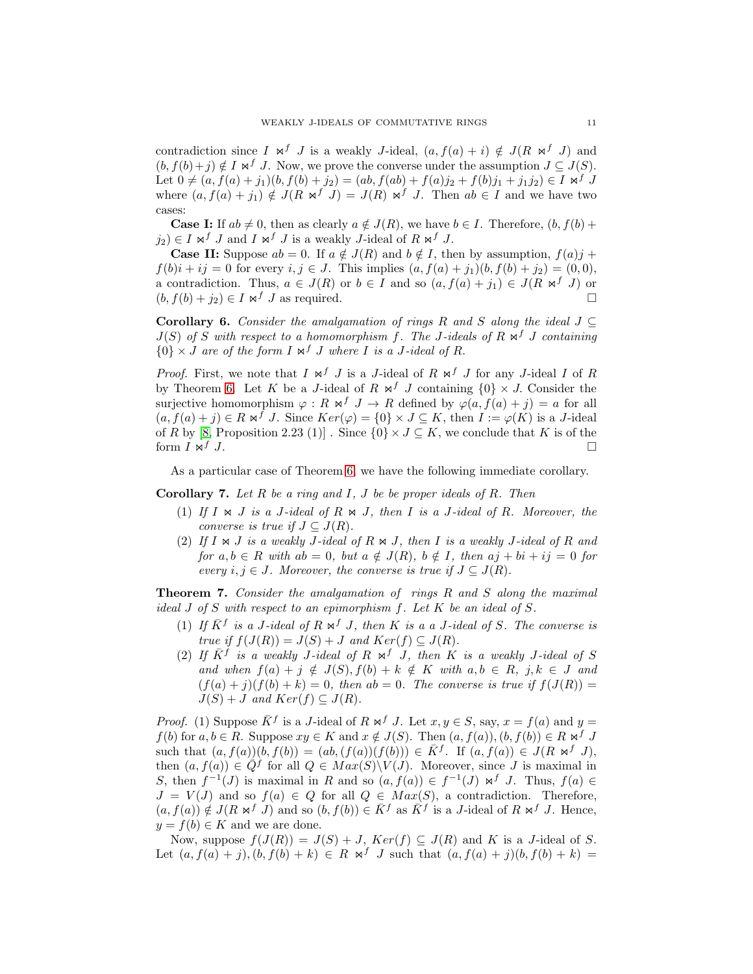contradiction since I  $\bowtie^f J$  is a weakly J-ideal,  $(a, f(a) + i) \notin J(R \bowtie^f J)$  and  $(b, f(b)+j) \notin I \bowtie^f J$ . Now, we prove the converse under the assumption  $J \subseteq J(S)$ . Let  $0 \neq (a, f(a) + j_1)(b, f(b) + j_2) = (ab, f(ab) + f(a)j_2 + f(b)j_1 + j_1j_2) \in I \bowtie^f J$ where  $(a, f(a) + j_1) \notin J(R \bowtie^f J) = J(R) \bowtie^f J$ . Then  $ab \in I$  and we have two cases:

**Case I:** If  $ab \neq 0$ , then as clearly  $a \notin J(R)$ , we have  $b \in I$ . Therefore,  $(b, f(b) +$  $j_2$ )  $\in I \bowtie^f J$  and  $I \bowtie^f J$  is a weakly J-ideal of  $R \bowtie^f J$ .

**Case II:** Suppose  $ab = 0$ . If  $a \notin J(R)$  and  $b \notin I$ , then by assumption,  $f(a)j +$  $f(b)i + ij = 0$  for every  $i, j \in J$ . This implies  $(a, f(a) + j_1)(b, f(b) + j_2) = (0, 0),$ a contradiction. Thus,  $a \in J(R)$  or  $b \in I$  and so  $(a, f(a) + j_1) \in J(R \bowtie^f J)$  or  $(b, f(b) + j_1) \in I \bowtie^f J$  as required  $(b, f(b) + j_2) \in I \Join f J$  as required.

<span id="page-10-1"></span>Corollary 6. *Consider the amalgamation of rings* R *and* S *along the ideal* J ⊆  $J(S)$  *of* S with respect to a homomorphism f. The J-ideals of R  $\Join$  <sup>f</sup> J containing  $\{0\} \times J$  *are of the form*  $I \Join^{f} J$  *where*  $I$  *is a*  $J$ *-ideal of*  $R$ .

*Proof.* First, we note that  $I \Join f J$  is a J-ideal of  $R \Join f J$  for any J-ideal I of R by Theorem [6.](#page-9-0) Let K be a J-ideal of R  $\Join^{f} J$  containing  $\{0\} \times J$ . Consider the surjective homomorphism  $\varphi : R \bowtie^f J \to R$  defined by  $\varphi(a, f(a) + j) = a$  for all  $(a, f(a) + j) \in R \bowtie^f J$ . Since  $Ker(\varphi) = \{0\} \times J \subseteq K$ , then  $I := \varphi(K)$  is a J-ideal of R by [\[8,](#page-13-1) Proposition 2.23 (1)]. Since  $\{0\} \times J \subseteq K$ , we conclude that K is of the form  $I \Join J$ form  $\overline{I} \Join^{f} J$ .

As a particular case of Theorem [6,](#page-9-0) we have the following immediate corollary.

<span id="page-10-2"></span>Corollary 7. *Let* R *be a ring and* I*,* J *be be proper ideals of* R*. Then*

- (1) If  $I \Join J$  *is a* J-ideal of  $R \Join J$ , then  $I$  *is a* J-ideal of  $R$ *. Moreover, the converse is true if*  $J \subseteq J(R)$ *.*
- (2) If  $I \Join J$  *is a weakly* J-ideal of  $R \Join J$ , then  $I$  *is a weakly* J-ideal of  $R$  and *for*  $a, b \in R$  *with*  $ab = 0$ *, but*  $a \notin J(R)$ *,*  $b \notin I$ *, then*  $aj + bi + ij = 0$  *for every*  $i, j \in J$ *. Moreover, the converse is true if*  $J \subseteq J(R)$ *.*

<span id="page-10-0"></span>Theorem 7. *Consider the amalgamation of rings* R *and* S *along the maximal ideal* J *of* S *with respect to an epimorphism* f*. Let* K *be an ideal of* S*.*

- (1) If  $\bar{K}^f$  is a J-ideal of  $R \Join^f J$ , then  $K$  is a a J-ideal of S. The converse is *true if*  $f(J(R)) = J(S) + J$  *and*  $Ker(f) \subseteq J(R)$ *.*
- (2) If  $\overline{K}^f$  is a weakly *J*-ideal of  $R \Join^f J$ , then  $K$  is a weakly *J*-ideal of S *and when*  $f(a) + j \notin J(S), f(b) + k \notin K$  *with*  $a, b \in R, j, k \in J$  *and*  $(f(a) + j)(f(b) + k) = 0$ , then  $ab = 0$ . The converse is true if  $f(J(R)) =$  $J(S) + J$  *and*  $Ker(f) \subseteq J(R)$ *.*

*Proof.* (1) Suppose  $\bar{K}^f$  is a J-ideal of R  $\Join^f J$ . Let  $x, y \in S$ , say,  $x = f(a)$  and  $y =$  $f(b)$  for  $a, b \in R$ . Suppose  $xy \in K$  and  $x \notin J(S)$ . Then  $(a, f(a)), (b, f(b)) \in R \bowtie^f J$ such that  $(a, f(a))(b, f(b)) = (ab, (f(a))(f(b))) \in \overline{K}^f$ . If  $(a, f(a)) \in J(R \bowtie^f J)$ , then  $(a, f(a)) \in \overline{Q}^f$  for all  $Q \in Max(S) \setminus V(J)$ . Moreover, since J is maximal in S, then  $f^{-1}(J)$  is maximal in R and so  $(a, f(a)) \in f^{-1}(J) \bowtie^f J$ . Thus,  $f(a) \in$  $J = V(J)$  and so  $f(a) \in Q$  for all  $Q \in Max(S)$ , a contradiction. Therefore,  $(a, f(a)) \notin J(R \Join^{f} J)$  and so  $(b, f(b)) \in \overline{K}^{f}$  as  $\overline{K}^{f}$  is a J-ideal of  $R \Join^{f} J$ . Hence,  $y = f(b) \in K$  and we are done.

Now, suppose  $f(J(R)) = J(S) + J$ ,  $Ker(f) \subseteq J(R)$  and K is a J-ideal of S. Let  $(a, f(a) + j), (b, f(b) + k) \in R \bowtie^{f} J$  such that  $(a, f(a) + j)(b, f(b) + k) =$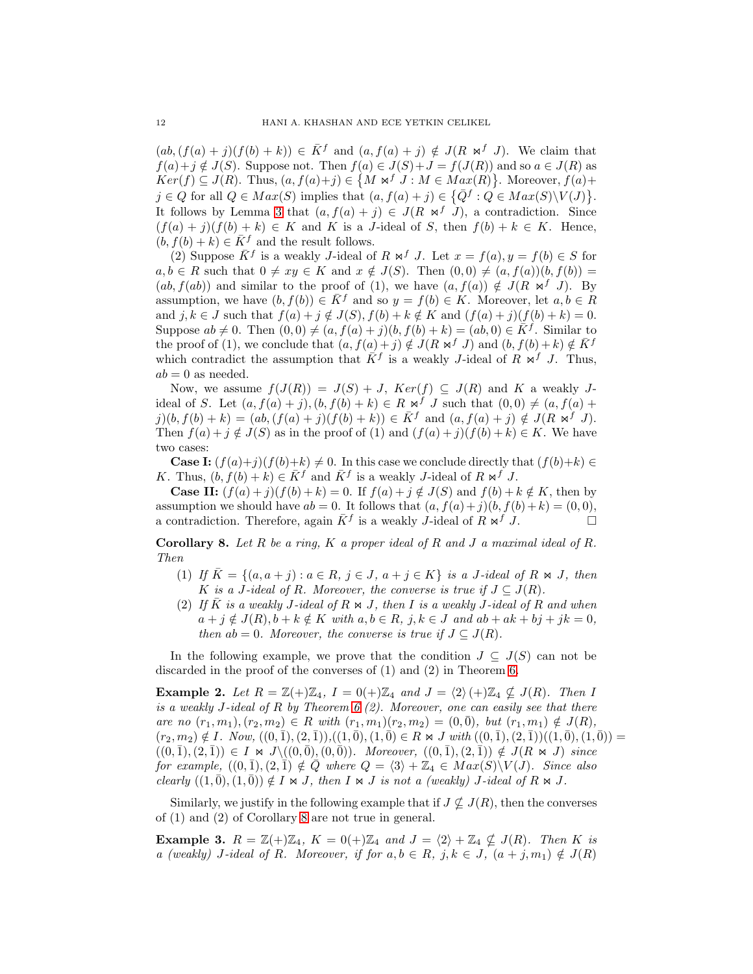$(ab, (f(a) + j)(f(b) + k)) \in \overline{K}^f$  and  $(a, f(a) + j) \notin J(R \bowtie^f J)$ . We claim that  $f(a)+j \notin J(S)$ . Suppose not. Then  $f(a) \in J(S)+J=f(J(R))$  and so  $a \in J(R)$  as  $Ker(f) \subseteq J(R)$ . Thus,  $(a, f(a)+j) \in \{M \bowtie^{f} J : M \in Max(R)\}$ . Moreover,  $f(a)+j$  $j \in Q$  for all  $Q \in Max(S)$  implies that  $(a, f(a) + j) \in \{ \overline{Q}^f : Q \in Max(S) \setminus V(J) \}.$ It follows by Lemma [3](#page-9-1) that  $(a, f(a) + j) \in J(R \bowtie^{f} J)$ , a contradiction. Since  $(f(a) + j)(f(b) + k) \in K$  and K is a J-ideal of S, then  $f(b) + k \in K$ . Hence,  $(b, f(b) + k) \in \overline{K}$ <sup>f</sup> and the result follows.

(2) Suppose  $\bar{K}^f$  is a weakly J-ideal of  $R \bowtie^f J$ . Let  $x = f(a), y = f(b) \in S$  for  $a, b \in R$  such that  $0 \neq xy \in K$  and  $x \notin J(S)$ . Then  $(0, 0) \neq (a, f(a))(b, f(b)) =$  $(ab, f(ab))$  and similar to the proof of (1), we have  $(a, f(a)) \notin J(R \Join^{f} J)$ . By assumption, we have  $(b, f(b)) \in \overline{K}$ <sup>f</sup> and so  $y = f(b) \in K$ . Moreover, let  $a, b \in R$ and  $j, k \in J$  such that  $f(a) + j \notin J(S)$ ,  $f(b) + k \notin K$  and  $(f(a) + j)(f(b) + k) = 0$ . Suppose  $ab \neq 0$ . Then  $(0, 0) \neq (a, f(a) + j)(b, f(b) + k) = (ab, 0) \in \overline{K}^f$ . Similar to the proof of (1), we conclude that  $(a, f(a) + j) \notin J(R \bowtie f J)$  and  $(b, f(b) + k) \notin \overline{K}^f$ which contradict the assumption that  $\overline{K}^f$  is a weakly J-ideal of  $R \Join^f J$ . Thus,  $ab = 0$  as needed.

Now, we assume  $f(J(R)) = J(S) + J$ ,  $Ker(f) \subseteq J(R)$  and K a weakly Jideal of S. Let  $(a, f(a) + j), (b, f(b) + k) \in R \bowtie^f J$  such that  $(0, 0) \neq (a, f(a) + j)$  $j)(b, f(b) + k) = (ab, (f(a) + j)(f(b) + k)) \in \overline{K}^f$  and  $(a, f(a) + j) \notin J(R \bowtie^f J)$ . Then  $f(a) + j \notin J(S)$  as in the proof of (1) and  $(f(a) + j)(f(b) + k) \in K$ . We have two cases:

**Case I:**  $(f(a)+j)(f(b)+k) \neq 0$ . In this case we conclude directly that  $(f(b)+k) \in$ K. Thus,  $(b, f(b) + k) \in \overline{K}^f$  and  $\overline{K}^f$  is a weakly J-ideal of  $R \bowtie^f J$ .

**Case II:**  $(f(a)+j)(f(b)+k) = 0$ . If  $f(a)+j \notin J(S)$  and  $f(b)+k \notin K$ , then by assumption we should have  $ab = 0$ . It follows that  $(a, f(a) + j)(b, f(b) + k) = (0, 0)$ , a contradiction. Therefore, again  $\bar{K}^f$  is a weakly *J*-ideal of  $R \bowtie^f J$ .

<span id="page-11-0"></span>Corollary 8. *Let* R *be a ring,* K *a proper ideal of* R *and* J *a maximal ideal of* R*. Then*

- (1) *If*  $K = \{(a, a + j) : a \in R, j \in J, a + j \in K\}$  *is a J-ideal of*  $R \bowtie J$ *, then* K is a J-ideal of R. Moreover, the converse is true if  $J \subseteq J(R)$ .
- (2) If  $\overline{K}$  *is a weakly* J-ideal of  $R \Join J$ , then I *is a weakly* J-ideal of  $R$  and when  $a + j \notin J(R)$ ,  $b + k \notin K$  *with*  $a, b \in R$ ,  $j, k \in J$  *and*  $ab + ak + bj + jk = 0$ , *then*  $ab = 0$ *. Moreover, the converse is true if*  $J \subseteq J(R)$ *.*

In the following example, we prove that the condition  $J \subseteq J(S)$  can not be discarded in the proof of the converses of (1) and (2) in Theorem [6.](#page-9-0)

<span id="page-11-1"></span>**Example 2.** Let  $R = \mathbb{Z}(+) \mathbb{Z}_4$ ,  $I = 0(+) \mathbb{Z}_4$  and  $J = \langle 2 \rangle (+) \mathbb{Z}_4 \nsubseteq J(R)$ *. Then* I *is a weakly* J*-ideal of* R *by Theorem [6](#page-9-0) (2). Moreover, one can easily see that there are no*  $(r_1, m_1), (r_2, m_2) \in R$  *with*  $(r_1, m_1)(r_2, m_2) = (0, \overline{0}),$  *but*  $(r_1, m_1) \notin J(R)$ *,*  $(r_2, m_2) \notin I$ *. Now,*  $((0, \overline{1}), (2, \overline{1})),((1, \overline{0}), (1, \overline{0}) \in R \bowtie J$  *with*  $((0, \overline{1}), (2, \overline{1}))((1, \overline{0}), (1, \overline{0})) =$  $((0,\overline{1}),(2,\overline{1})) \in I \bowtie J \setminus ((0,\overline{0}),(0,\overline{0}))$ *. Moreover*,  $((0,\overline{1}),(2,\overline{1})) \notin J(R \bowtie J)$  *since for example,*  $((0, \bar{1}), (2, \bar{1}) \notin Q$  where  $Q = \langle 3 \rangle + \mathbb{Z}_4 \in Max(S) \backslash V(J)$ *. Since also clearly*  $((1, 0), (1, 0)) \notin I \Join J$ *, then*  $I \Join J$  *is not a (weakly) J*-ideal of  $R \Join J$ *.* 

Similarly, we justify in the following example that if  $J \nsubseteq J(R)$ , then the converses of (1) and (2) of Corollary [8](#page-11-0) are not true in general.

<span id="page-11-2"></span>**Example 3.**  $R = \mathbb{Z}(+) \mathbb{Z}_4$ ,  $K = 0(+) \mathbb{Z}_4$  and  $J = \langle 2 \rangle + \mathbb{Z}_4 \nsubseteq J(R)$ *. Then* K is *a* (weakly) *J*-ideal of R. Moreover, if for  $a, b \in R$ ,  $j, k \in J$ ,  $(a + j, m_1) \notin J(R)$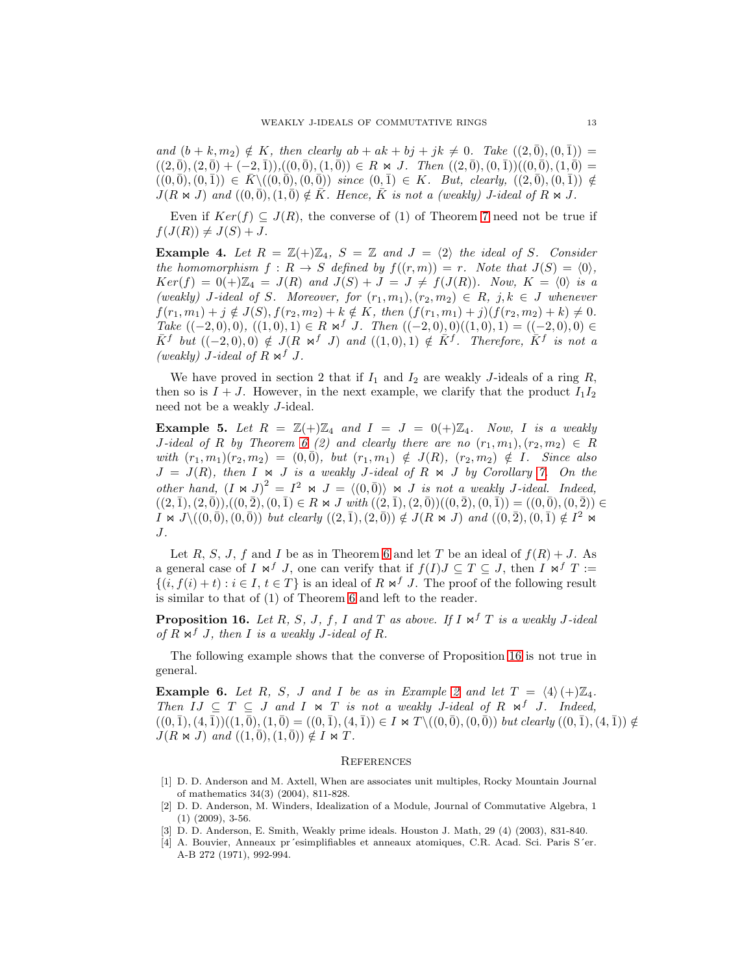*and*  $(b + k, m_2) \notin K$ *, then clearly*  $ab + ak + bj + jk \neq 0$ *. Take*  $((2, 0), (0, 1)) =$  $((2,\overline{0}), (2,\overline{0}) + (-2,\overline{1})),((0,\overline{0}), (1,\overline{0})) \in R \bowtie J$ . Then  $((2,\overline{0}), (0,\overline{1}))((0,\overline{0}), (1,\overline{0}) =$  $((0,\overline{0}),(0,\overline{1})) \in \overline{K} \setminus ((0,\overline{0}),(0,\overline{0}))$  *since*  $(0,\overline{1}) \in K$ *. But, clearly,*  $((2,\overline{0}),(0,\overline{1})) \notin$  $J(R \Join J)$  and  $((0, \bar{0}), (1, \bar{0}) \notin \bar{K}$ . Hence,  $\bar{K}$  is not a (weakly) *J*-ideal of  $R \Join J$ .

Even if  $Ker(f) \subseteq J(R)$ , the converse of (1) of Theorem [7](#page-10-0) need not be true if  $f(J(R)) \neq J(S) + J.$ 

<span id="page-12-5"></span>**Example 4.** Let  $R = \mathbb{Z}(+) \mathbb{Z}_4$ ,  $S = \mathbb{Z}$  and  $J = \langle 2 \rangle$  the ideal of S. Consider *the homomorphism*  $f: R \to S$  *defined by*  $f((r, m)) = r$ *. Note that*  $J(S) = \langle 0 \rangle$ *,*  $Ker(f) = 0(+) \mathbb{Z}_4 = J(R)$  and  $J(S) + J = J \neq f(J(R))$ *. Now,*  $K = \langle 0 \rangle$  *is a*  $(weaky)$  *J*-ideal of *S*. Moreover, for  $(r_1, m_1), (r_2, m_2) \in R$ ,  $j, k \in J$  whenever  $f(r_1, m_1) + j \notin J(S), f(r_2, m_2) + k \notin K$ , then  $(f(r_1, m_1) + j)(f(r_2, m_2) + k) \neq 0$ . *Take*  $((-2,0),0), ((1,0),1) \in R \Join f J$ *. Then*  $((-2,0),0)((1,0),1) = ((-2,0),0) \in$  $\overline{K}$ <sup>f</sup> but  $((-2,0),0) \notin J(R \Join f J)$  and  $((1,0),1) \notin \overline{K}$ <sup>f</sup>. Therefore,  $\overline{K}$ <sup>f</sup> is not a *(weakly) J*-ideal of  $R \Join f J$ .

We have proved in section 2 that if  $I_1$  and  $I_2$  are weakly J-ideals of a ring  $R$ , then so is  $I + J$ . However, in the next example, we clarify that the product  $I_1I_2$ need not be a weakly J-ideal.

<span id="page-12-1"></span>**Example 5.** Let  $R = \mathbb{Z}(+) \mathbb{Z}_4$  and  $I = J = 0(+) \mathbb{Z}_4$ . Now, I is a weakly  $J$ -ideal of R by Theorem [6](#page-9-0) (2) and clearly there are no  $(r_1, m_1), (r_2, m_2) \in R$ *with*  $(r_1, m_1)(r_2, m_2) = (0, \bar{0})$ *, but*  $(r_1, m_1) \notin J(R)$ *,*  $(r_2, m_2) \notin I$ *. Since also*  $J = J(R)$ , then  $I \Join J$  *is a weakly J-ideal of*  $R \Join J$  *by Corollary [7.](#page-10-2) On the other hand,*  $(I \Join J)^2 = I^2 \Join J = \langle (0, \bar{0}) \rangle \Join J$  *is not a weakly J-ideal. Indeed,*  $((2,\overline{1}),(2,\overline{0})),((0,\overline{2}),(0,\overline{1})\in R \bowtie J$  *with*  $((2,\overline{1}),(2,\overline{0}))((0,\overline{2}),(0,\overline{1})) = ((0,\overline{0}),(0,\overline{2})) \in$  $I \Join J \setminus ((0, \bar{0}), (0, \bar{0}))$  *but clearly*  $((2, \bar{1}), (2, \bar{0})) \notin J(R \Join J)$  *and*  $((0, \bar{2}), (0, \bar{1}) \notin I^2 \Join I^2)$ J*.*

Let R, S, J, f and I be as in Theorem [6](#page-9-0) and let T be an ideal of  $f(R) + J$ . As a general case of I  $\mathsf{M}^f$  J, one can verify that if  $f(I)J \subseteq T \subseteq J$ , then I  $\mathsf{M}^f$  T :=  $\{(i, f(i) + t) : i \in I, t \in T\}$  is an ideal of  $R \bowtie^{f} J$ . The proof of the following result is similar to that of (1) of Theorem [6](#page-9-0) and left to the reader.

<span id="page-12-7"></span>**Proposition 16.** *Let*  $R$ *,*  $S$ *<i>,*  $J$ *,*  $f$ *, I and*  $T$  *as above. If*  $I \Join^f T$  *is a weakly*  $J$ -ideal *of*  $R \Join^f J$ , then *I is a weakly J-ideal of*  $R$ *.* 

The following example shows that the converse of Proposition [16](#page-12-7) is not true in general.

<span id="page-12-6"></span>**Example 6.** Let R, S, J and I be as in Example [2](#page-11-1) and let  $T = \langle 4 \rangle (+)\mathbb{Z}_4$ . *Then*  $IJ \subseteq T \subseteq J$  *and*  $I \Join T$  *is not a weakly J-ideal of*  $R \Join J$ *. Indeed,*  $((0, 1), (4, 1))((1, 0), (1, 0) = ((0, 1), (4, 1)) \in I \bowtie T \setminus ((0, 0), (0, 0))$  *but clearly*  $((0, 1), (4, 1)) \notin$  $J(R \Join J)$  and  $((1, 0), (1, 0)) \notin I \Join T$ .

### **REFERENCES**

- <span id="page-12-3"></span>[1] D. D. Anderson and M. Axtell, When are associates unit multiples, Rocky Mountain Journal of mathematics 34(3) (2004), 811-828.
- <span id="page-12-4"></span>[2] D. D. Anderson, M. Winders, Idealization of a Module, Journal of Commutative Algebra, 1 (1) (2009), 3-56.
- <span id="page-12-2"></span><span id="page-12-0"></span>[3] D. D. Anderson, E. Smith, Weakly prime ideals. Houston J. Math, 29 (4) (2003), 831-840.
- [4] A. Bouvier, Anneaux pr´esimplifiables et anneaux atomiques, C.R. Acad. Sci. Paris S´er. A-B 272 (1971), 992-994.